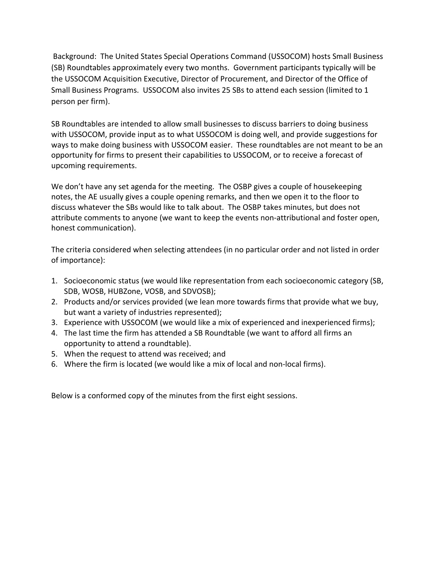Background: The United States Special Operations Command (USSOCOM) hosts Small Business (SB) Roundtables approximately every two months. Government participants typically will be the USSOCOM Acquisition Executive, Director of Procurement, and Director of the Office of Small Business Programs. USSOCOM also invites 25 SBs to attend each session (limited to 1 person per firm).

SB Roundtables are intended to allow small businesses to discuss barriers to doing business with USSOCOM, provide input as to what USSOCOM is doing well, and provide suggestions for ways to make doing business with USSOCOM easier. These roundtables are not meant to be an opportunity for firms to present their capabilities to USSOCOM, or to receive a forecast of upcoming requirements.

We don't have any set agenda for the meeting. The OSBP gives a couple of housekeeping notes, the AE usually gives a couple opening remarks, and then we open it to the floor to discuss whatever the SBs would like to talk about. The OSBP takes minutes, but does not attribute comments to anyone (we want to keep the events non-attributional and foster open, honest communication).

The criteria considered when selecting attendees (in no particular order and not listed in order of importance):

- 1. Socioeconomic status (we would like representation from each socioeconomic category (SB, SDB, WOSB, HUBZone, VOSB, and SDVOSB);
- 2. Products and/or services provided (we lean more towards firms that provide what we buy, but want a variety of industries represented);
- 3. Experience with USSOCOM (we would like a mix of experienced and inexperienced firms);
- 4. The last time the firm has attended a SB Roundtable (we want to afford all firms an opportunity to attend a roundtable).
- 5. When the request to attend was received; and
- 6. Where the firm is located (we would like a mix of local and non-local firms).

Below is a conformed copy of the minutes from the first eight sessions.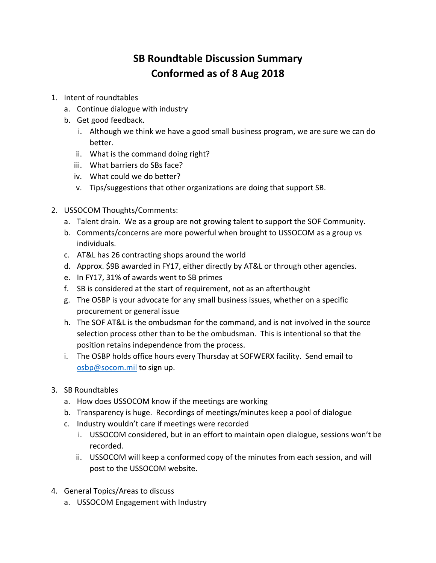## **SB Roundtable Discussion Summary Conformed as of 8 Aug 2018**

- 1. Intent of roundtables
	- a. Continue dialogue with industry
	- b. Get good feedback.
		- i. Although we think we have a good small business program, we are sure we can do better.
		- ii. What is the command doing right?
		- iii. What barriers do SBs face?
		- iv. What could we do better?
		- v. Tips/suggestions that other organizations are doing that support SB.
- 2. USSOCOM Thoughts/Comments:
	- a. Talent drain. We as a group are not growing talent to support the SOF Community.
	- b. Comments/concerns are more powerful when brought to USSOCOM as a group vs individuals.
	- c. AT&L has 26 contracting shops around the world
	- d. Approx. \$9B awarded in FY17, either directly by AT&L or through other agencies.
	- e. In FY17, 31% of awards went to SB primes
	- f. SB is considered at the start of requirement, not as an afterthought
	- g. The OSBP is your advocate for any small business issues, whether on a specific procurement or general issue
	- h. The SOF AT&L is the ombudsman for the command, and is not involved in the source selection process other than to be the ombudsman. This is intentional so that the position retains independence from the process.
	- i. The OSBP holds office hours every Thursday at SOFWERX facility. Send email to [osbp@socom.mil](mailto:osbp@socom.mil) to sign up.
- 3. SB Roundtables
	- a. How does USSOCOM know if the meetings are working
	- b. Transparency is huge. Recordings of meetings/minutes keep a pool of dialogue
	- c. Industry wouldn't care if meetings were recorded
		- i. USSOCOM considered, but in an effort to maintain open dialogue, sessions won't be recorded.
		- ii. USSOCOM will keep a conformed copy of the minutes from each session, and will post to the USSOCOM website.
- 4. General Topics/Areas to discuss
	- a. USSOCOM Engagement with Industry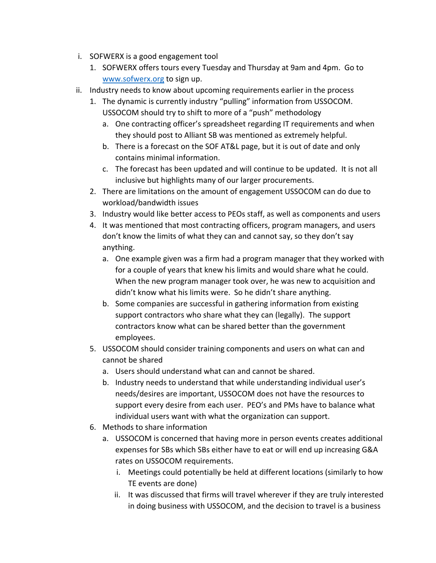- i. SOFWERX is a good engagement tool
	- 1. SOFWERX offers tours every Tuesday and Thursday at 9am and 4pm. Go to [www.sofwerx.org](http://www.sofwerx.org/) to sign up.
- ii. Industry needs to know about upcoming requirements earlier in the process
	- 1. The dynamic is currently industry "pulling" information from USSOCOM. USSOCOM should try to shift to more of a "push" methodology
		- a. One contracting officer's spreadsheet regarding IT requirements and when they should post to Alliant SB was mentioned as extremely helpful.
		- b. There is a forecast on the SOF AT&L page, but it is out of date and only contains minimal information.
		- c. The forecast has been updated and will continue to be updated. It is not all inclusive but highlights many of our larger procurements.
	- 2. There are limitations on the amount of engagement USSOCOM can do due to workload/bandwidth issues
	- 3. Industry would like better access to PEOs staff, as well as components and users
	- 4. It was mentioned that most contracting officers, program managers, and users don't know the limits of what they can and cannot say, so they don't say anything.
		- a. One example given was a firm had a program manager that they worked with for a couple of years that knew his limits and would share what he could. When the new program manager took over, he was new to acquisition and didn't know what his limits were. So he didn't share anything.
		- b. Some companies are successful in gathering information from existing support contractors who share what they can (legally). The support contractors know what can be shared better than the government employees.
	- 5. USSOCOM should consider training components and users on what can and cannot be shared
		- a. Users should understand what can and cannot be shared.
		- b. Industry needs to understand that while understanding individual user's needs/desires are important, USSOCOM does not have the resources to support every desire from each user. PEO's and PMs have to balance what individual users want with what the organization can support.
	- 6. Methods to share information
		- a. USSOCOM is concerned that having more in person events creates additional expenses for SBs which SBs either have to eat or will end up increasing G&A rates on USSOCOM requirements.
			- i. Meetings could potentially be held at different locations (similarly to how TE events are done)
			- ii. It was discussed that firms will travel wherever if they are truly interested in doing business with USSOCOM, and the decision to travel is a business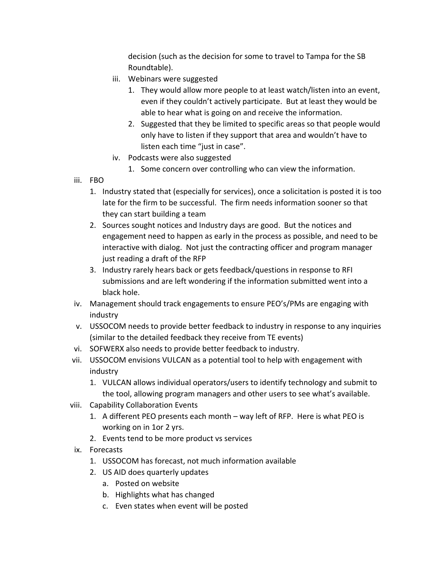decision (such as the decision for some to travel to Tampa for the SB Roundtable).

- iii. Webinars were suggested
	- 1. They would allow more people to at least watch/listen into an event, even if they couldn't actively participate. But at least they would be able to hear what is going on and receive the information.
	- 2. Suggested that they be limited to specific areas so that people would only have to listen if they support that area and wouldn't have to listen each time "just in case".
- iv. Podcasts were also suggested
	- 1. Some concern over controlling who can view the information.
- iii. FBO
	- 1. Industry stated that (especially for services), once a solicitation is posted it is too late for the firm to be successful. The firm needs information sooner so that they can start building a team
	- 2. Sources sought notices and Industry days are good. But the notices and engagement need to happen as early in the process as possible, and need to be interactive with dialog. Not just the contracting officer and program manager just reading a draft of the RFP
	- 3. Industry rarely hears back or gets feedback/questions in response to RFI submissions and are left wondering if the information submitted went into a black hole.
- iv. Management should track engagements to ensure PEO's/PMs are engaging with industry
- v. USSOCOM needs to provide better feedback to industry in response to any inquiries (similar to the detailed feedback they receive from TE events)
- vi. SOFWERX also needs to provide better feedback to industry.
- vii. USSOCOM envisions VULCAN as a potential tool to help with engagement with industry
	- 1. VULCAN allows individual operators/users to identify technology and submit to the tool, allowing program managers and other users to see what's available.
- viii. Capability Collaboration Events
	- 1. A different PEO presents each month way left of RFP. Here is what PEO is working on in 1or 2 yrs.
	- 2. Events tend to be more product vs services
- ix. Forecasts
	- 1. USSOCOM has forecast, not much information available
	- 2. US AID does quarterly updates
		- a. Posted on website
		- b. Highlights what has changed
		- c. Even states when event will be posted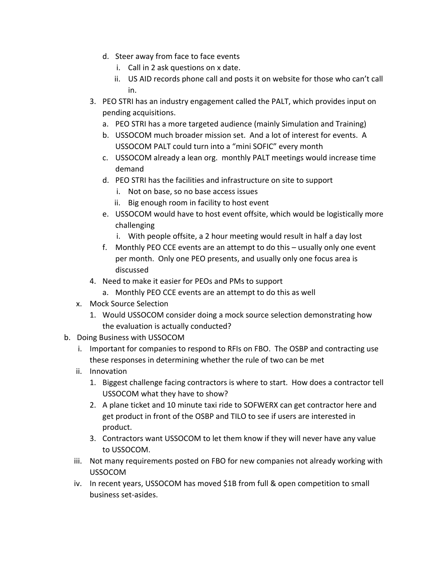- d. Steer away from face to face events
	- i. Call in 2 ask questions on x date.
	- ii. US AID records phone call and posts it on website for those who can't call in.
- 3. PEO STRI has an industry engagement called the PALT, which provides input on pending acquisitions.
	- a. PEO STRI has a more targeted audience (mainly Simulation and Training)
	- b. USSOCOM much broader mission set. And a lot of interest for events. A USSOCOM PALT could turn into a "mini SOFIC" every month
	- c. USSOCOM already a lean org. monthly PALT meetings would increase time demand
	- d. PEO STRI has the facilities and infrastructure on site to support
		- i. Not on base, so no base access issues
		- ii. Big enough room in facility to host event
	- e. USSOCOM would have to host event offsite, which would be logistically more challenging
		- i. With people offsite, a 2 hour meeting would result in half a day lost
	- f. Monthly PEO CCE events are an attempt to do this usually only one event per month. Only one PEO presents, and usually only one focus area is discussed
- 4. Need to make it easier for PEOs and PMs to support
	- a. Monthly PEO CCE events are an attempt to do this as well
- x. Mock Source Selection
	- 1. Would USSOCOM consider doing a mock source selection demonstrating how the evaluation is actually conducted?
- b. Doing Business with USSOCOM
	- i. Important for companies to respond to RFIs on FBO. The OSBP and contracting use these responses in determining whether the rule of two can be met
	- ii. Innovation
		- 1. Biggest challenge facing contractors is where to start. How does a contractor tell USSOCOM what they have to show?
		- 2. A plane ticket and 10 minute taxi ride to SOFWERX can get contractor here and get product in front of the OSBP and TILO to see if users are interested in product.
		- 3. Contractors want USSOCOM to let them know if they will never have any value to USSOCOM.
	- iii. Not many requirements posted on FBO for new companies not already working with USSOCOM
	- iv. In recent years, USSOCOM has moved \$1B from full & open competition to small business set-asides.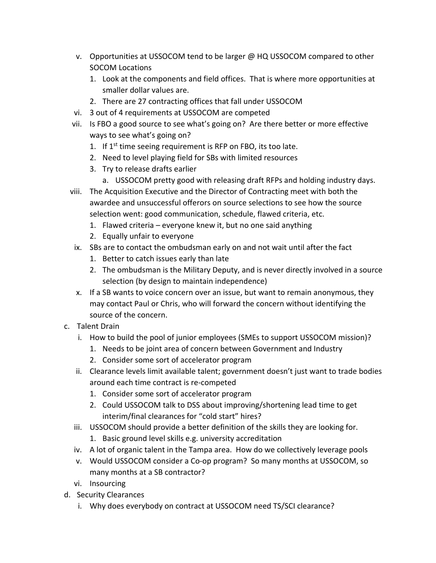- v. Opportunities at USSOCOM tend to be larger @ HQ USSOCOM compared to other SOCOM Locations
	- 1. Look at the components and field offices. That is where more opportunities at smaller dollar values are.
	- 2. There are 27 contracting offices that fall under USSOCOM
- vi. 3 out of 4 requirements at USSOCOM are competed
- vii. Is FBO a good source to see what's going on? Are there better or more effective ways to see what's going on?
	- 1. If  $1^{st}$  time seeing requirement is RFP on FBO, its too late.
	- 2. Need to level playing field for SBs with limited resources
	- 3. Try to release drafts earlier
		- a. USSOCOM pretty good with releasing draft RFPs and holding industry days.
- viii. The Acquisition Executive and the Director of Contracting meet with both the awardee and unsuccessful offerors on source selections to see how the source selection went: good communication, schedule, flawed criteria, etc.
	- 1. Flawed criteria everyone knew it, but no one said anything
	- 2. Equally unfair to everyone
- ix. SBs are to contact the ombudsman early on and not wait until after the fact
	- 1. Better to catch issues early than late
	- 2. The ombudsman is the Military Deputy, and is never directly involved in a source selection (by design to maintain independence)
- x. If a SB wants to voice concern over an issue, but want to remain anonymous, they may contact Paul or Chris, who will forward the concern without identifying the source of the concern.
- c. Talent Drain
	- i. How to build the pool of junior employees (SMEs to support USSOCOM mission)?
		- 1. Needs to be joint area of concern between Government and Industry
		- 2. Consider some sort of accelerator program
	- ii. Clearance levels limit available talent; government doesn't just want to trade bodies around each time contract is re-competed
		- 1. Consider some sort of accelerator program
		- 2. Could USSOCOM talk to DSS about improving/shortening lead time to get interim/final clearances for "cold start" hires?
	- iii. USSOCOM should provide a better definition of the skills they are looking for.
		- 1. Basic ground level skills e.g. university accreditation
	- iv. A lot of organic talent in the Tampa area. How do we collectively leverage pools
	- v. Would USSOCOM consider a Co-op program? So many months at USSOCOM, so many months at a SB contractor?
	- vi. Insourcing
- d. Security Clearances
	- i. Why does everybody on contract at USSOCOM need TS/SCI clearance?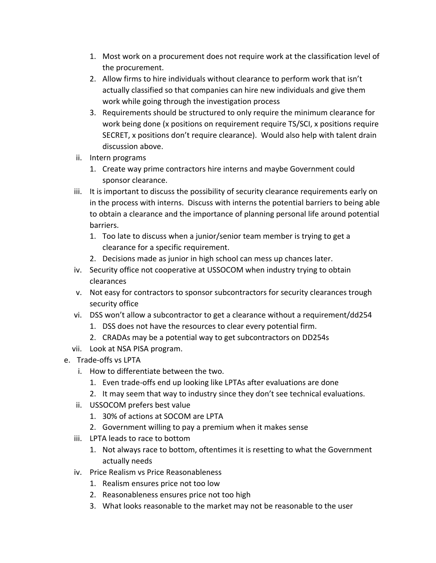- 1. Most work on a procurement does not require work at the classification level of the procurement.
- 2. Allow firms to hire individuals without clearance to perform work that isn't actually classified so that companies can hire new individuals and give them work while going through the investigation process
- 3. Requirements should be structured to only require the minimum clearance for work being done (x positions on requirement require TS/SCI, x positions require SECRET, x positions don't require clearance). Would also help with talent drain discussion above.
- ii. Intern programs
	- 1. Create way prime contractors hire interns and maybe Government could sponsor clearance.
- iii. It is important to discuss the possibility of security clearance requirements early on in the process with interns. Discuss with interns the potential barriers to being able to obtain a clearance and the importance of planning personal life around potential barriers.
	- 1. Too late to discuss when a junior/senior team member is trying to get a clearance for a specific requirement.
	- 2. Decisions made as junior in high school can mess up chances later.
- iv. Security office not cooperative at USSOCOM when industry trying to obtain clearances
- v. Not easy for contractors to sponsor subcontractors for security clearances trough security office
- vi. DSS won't allow a subcontractor to get a clearance without a requirement/dd254
	- 1. DSS does not have the resources to clear every potential firm.
	- 2. CRADAs may be a potential way to get subcontractors on DD254s
- vii. Look at NSA PISA program.
- e. Trade-offs vs LPTA
	- i. How to differentiate between the two.
		- 1. Even trade-offs end up looking like LPTAs after evaluations are done
		- 2. It may seem that way to industry since they don't see technical evaluations.
	- ii. USSOCOM prefers best value
		- 1. 30% of actions at SOCOM are LPTA
		- 2. Government willing to pay a premium when it makes sense
	- iii. LPTA leads to race to bottom
		- 1. Not always race to bottom, oftentimes it is resetting to what the Government actually needs
	- iv. Price Realism vs Price Reasonableness
		- 1. Realism ensures price not too low
		- 2. Reasonableness ensures price not too high
		- 3. What looks reasonable to the market may not be reasonable to the user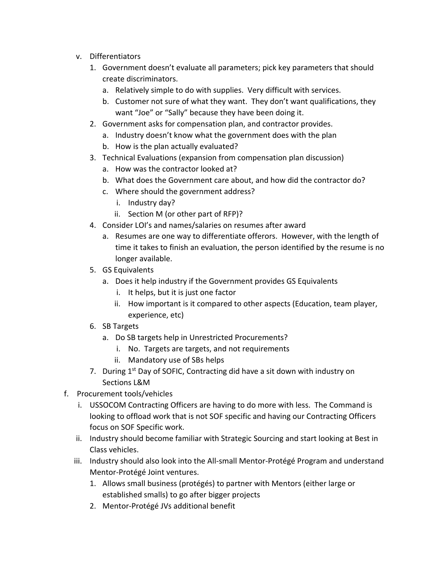- v. Differentiators
	- 1. Government doesn't evaluate all parameters; pick key parameters that should create discriminators.
		- a. Relatively simple to do with supplies. Very difficult with services.
		- b. Customer not sure of what they want. They don't want qualifications, they want "Joe" or "Sally" because they have been doing it.
	- 2. Government asks for compensation plan, and contractor provides.
		- a. Industry doesn't know what the government does with the plan
		- b. How is the plan actually evaluated?
	- 3. Technical Evaluations (expansion from compensation plan discussion)
		- a. How was the contractor looked at?
		- b. What does the Government care about, and how did the contractor do?
		- c. Where should the government address?
			- i. Industry day?
			- ii. Section M (or other part of RFP)?
	- 4. Consider LOI's and names/salaries on resumes after award
		- a. Resumes are one way to differentiate offerors. However, with the length of time it takes to finish an evaluation, the person identified by the resume is no longer available.
	- 5. GS Equivalents
		- a. Does it help industry if the Government provides GS Equivalents
			- i. It helps, but it is just one factor
			- ii. How important is it compared to other aspects (Education, team player, experience, etc)
	- 6. SB Targets
		- a. Do SB targets help in Unrestricted Procurements?
			- i. No. Targets are targets, and not requirements
			- ii. Mandatory use of SBs helps
	- 7. During 1<sup>st</sup> Day of SOFIC, Contracting did have a sit down with industry on Sections L&M
- f. Procurement tools/vehicles
	- i. USSOCOM Contracting Officers are having to do more with less. The Command is looking to offload work that is not SOF specific and having our Contracting Officers focus on SOF Specific work.
	- ii. Industry should become familiar with Strategic Sourcing and start looking at Best in Class vehicles.
	- iii. Industry should also look into the All-small Mentor-Protégé Program and understand Mentor-Protégé Joint ventures.
		- 1. Allows small business (protégés) to partner with Mentors (either large or established smalls) to go after bigger projects
		- 2. Mentor-Protégé JVs additional benefit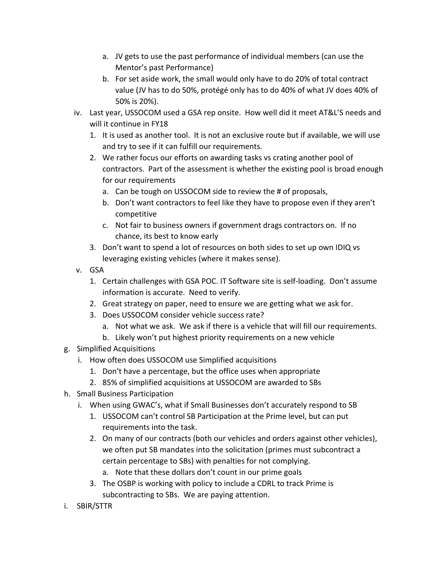- a. JV gets to use the past performance of individual members (can use the Mentor's past Performance)
- b. For set aside work, the small would only have to do 20% of total contract value (JV has to do 50%, protégé only has to do 40% of what JV does 40% of 50% is 20%).
- iv. Last year, USSOCOM used a GSA rep onsite. How well did it meet AT&L'S needs and will it continue in FY18
	- 1. It is used as another tool. It is not an exclusive route but if available, we will use and try to see if it can fulfill our requirements.
	- 2. We rather focus our efforts on awarding tasks vs crating another pool of contractors. Part of the assessment is whether the existing pool is broad enough for our requirements
		- a. Can be tough on USSOCOM side to review the # of proposals,
		- b. Don't want contractors to feel like they have to propose even if they aren't competitive
		- c. Not fair to business owners if government drags contractors on. If no chance, its best to know early
	- 3. Don't want to spend a lot of resources on both sides to set up own IDIQ vs leveraging existing vehicles (where it makes sense).
- v. GSA
	- 1. Certain challenges with GSA POC. IT Software site is self-loading. Don't assume information is accurate. Need to verify.
	- 2. Great strategy on paper, need to ensure we are getting what we ask for.
	- 3. Does USSOCOM consider vehicle success rate?
		- a. Not what we ask. We ask if there is a vehicle that will fill our requirements.
		- b. Likely won't put highest priority requirements on a new vehicle
- g. Simplified Acquisitions
	- i. How often does USSOCOM use Simplified acquisitions
		- 1. Don't have a percentage, but the office uses when appropriate
		- 2. 85% of simplified acquisitions at USSOCOM are awarded to SBs
- h. Small Business Participation
	- i. When using GWAC's, what if Small Businesses don't accurately respond to SB
		- 1. USSOCOM can't control SB Participation at the Prime level, but can put requirements into the task.
		- 2. On many of our contracts (both our vehicles and orders against other vehicles), we often put SB mandates into the solicitation (primes must subcontract a certain percentage to SBs) with penalties for not complying.
			- a. Note that these dollars don't count in our prime goals
		- 3. The OSBP is working with policy to include a CDRL to track Prime is subcontracting to SBs. We are paying attention.
- i. SBIR/STTR